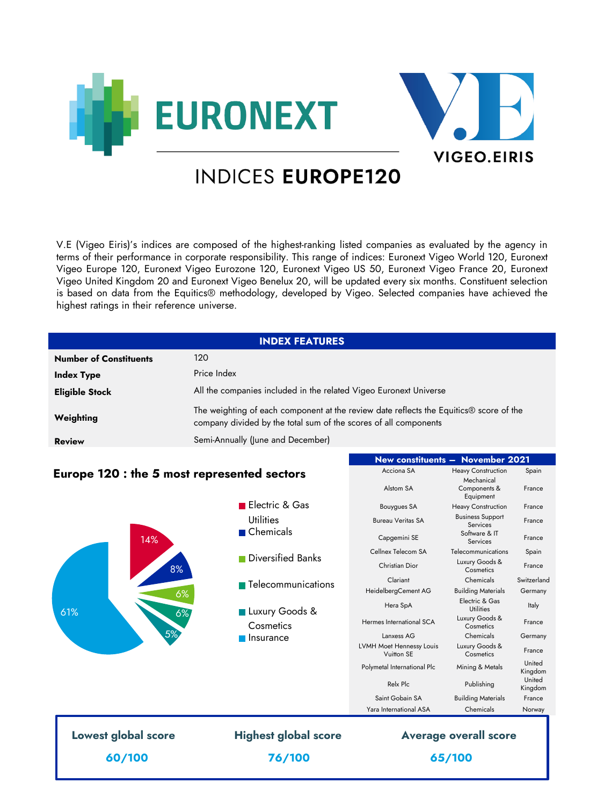



**New constituents – November 2021** Acciona SA **Heavy Construction** Spain

# **INDICES EUROPE120**

V.E (Vigeo Eiris)'s indices are composed of the highest-ranking listed companies as evaluated by the agency in terms of their performance in corporate responsibility. This range of indices: Euronext Vigeo World 120, Euronext Vigeo Europe 120, Euronext Vigeo Eurozone 120, Euronext Vigeo US 50, Euronext Vigeo France 20, Euronext Vigeo United Kingdom 20 and Euronext Vigeo Benelux 20, will be updated every six months. Constituent selection is based on data from the Equitics® methodology, developed by Vigeo. Selected companies have achieved the highest ratings in their reference universe.

| <b>INDEX FEATURES</b>         |                                                                                                                                                                        |  |  |
|-------------------------------|------------------------------------------------------------------------------------------------------------------------------------------------------------------------|--|--|
| <b>Number of Constituents</b> | 120                                                                                                                                                                    |  |  |
| <b>Index Type</b>             | Price Index                                                                                                                                                            |  |  |
| <b>Eligible Stock</b>         | All the companies included in the related Vigeo Euronext Universe                                                                                                      |  |  |
| Weighting                     | The weighting of each component at the review date reflects the Equitics <sup>®</sup> score of the<br>company divided by the total sum of the scores of all components |  |  |
| <b>Review</b>                 | Semi-Annually (June and December)                                                                                                                                      |  |  |

## **Europe 120 : the 5 most represented sectors**

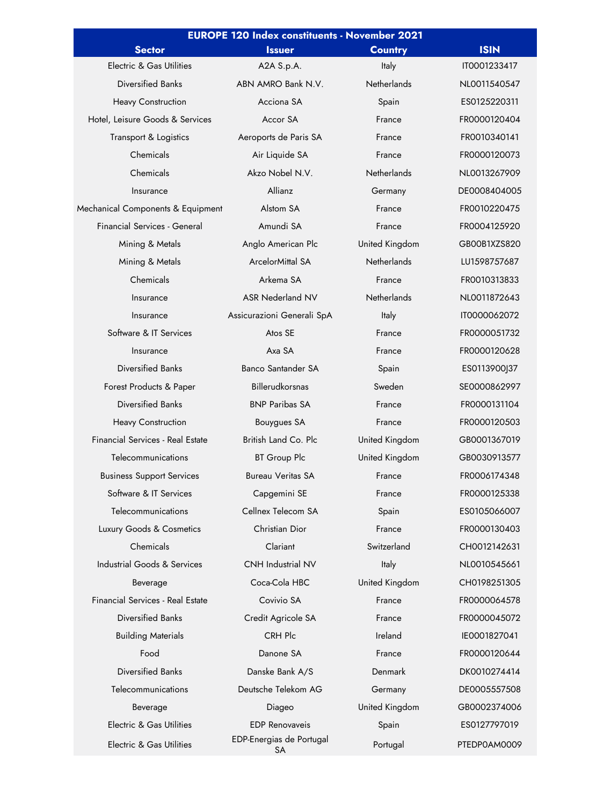| <b>EUROPE 120 Index constituents - November 2021</b> |                                |                    |              |  |
|------------------------------------------------------|--------------------------------|--------------------|--------------|--|
| <b>Sector</b>                                        | <b>Issuer</b>                  | <b>Country</b>     | <b>ISIN</b>  |  |
| Electric & Gas Utilities                             | A2A S.p.A.                     | Italy              | IT0001233417 |  |
| Diversified Banks                                    | ABN AMRO Bank N.V.             | Netherlands        | NL0011540547 |  |
| <b>Heavy Construction</b>                            | Acciona SA                     | Spain              | ES0125220311 |  |
| Hotel, Leisure Goods & Services                      | Accor SA                       | France             | FR0000120404 |  |
| <b>Transport &amp; Logistics</b>                     | Aeroports de Paris SA          | France             | FR0010340141 |  |
| Chemicals                                            | Air Liquide SA                 | France             | FR0000120073 |  |
| Chemicals                                            | Akzo Nobel N.V.                | <b>Netherlands</b> | NL0013267909 |  |
| Insurance                                            | Allianz                        | Germany            | DE0008404005 |  |
| Mechanical Components & Equipment                    | Alstom SA                      | France             | FR0010220475 |  |
| <b>Financial Services - General</b>                  | Amundi SA                      | France             | FR0004125920 |  |
| Mining & Metals                                      | Anglo American Plc             | United Kingdom     | GB00B1XZS820 |  |
| Mining & Metals                                      | <b>ArcelorMittal SA</b>        | <b>Netherlands</b> | LU1598757687 |  |
| Chemicals                                            | Arkema SA                      | France             | FR0010313833 |  |
| Insurance                                            | <b>ASR Nederland NV</b>        | <b>Netherlands</b> | NL0011872643 |  |
| Insurance                                            | Assicurazioni Generali SpA     | Italy              | IT0000062072 |  |
| Software & IT Services                               | Atos SE                        | France             | FR0000051732 |  |
| Insurance                                            | Axa SA                         | France             | FR0000120628 |  |
| Diversified Banks                                    | <b>Banco Santander SA</b>      | Spain              | ES0113900J37 |  |
| Forest Products & Paper                              | <b>Billerudkorsnas</b>         | Sweden             | SE0000862997 |  |
| Diversified Banks                                    | <b>BNP Paribas SA</b>          | France             | FR0000131104 |  |
| <b>Heavy Construction</b>                            | <b>Bouygues SA</b>             | France             | FR0000120503 |  |
| Financial Services - Real Estate                     | British Land Co. Plc           | United Kingdom     | GB0001367019 |  |
| Telecommunications                                   | <b>BT Group Plc</b>            | United Kingdom     | GB0030913577 |  |
| <b>Business Support Services</b>                     | <b>Bureau Veritas SA</b>       | France             | FR0006174348 |  |
| Software & IT Services                               | Capgemini SE                   | France             | FR0000125338 |  |
| Telecommunications                                   | Cellnex Telecom SA             | Spain              | ES0105066007 |  |
| Luxury Goods & Cosmetics                             | Christian Dior                 | France             | FR0000130403 |  |
| Chemicals                                            | Clariant                       | Switzerland        | CH0012142631 |  |
| <b>Industrial Goods &amp; Services</b>               | <b>CNH Industrial NV</b>       | Italy              | NL0010545661 |  |
| Beverage                                             | Coca-Cola HBC                  | United Kingdom     | CH0198251305 |  |
| Financial Services - Real Estate                     | Covivio SA                     | France             | FR0000064578 |  |
| Diversified Banks                                    | Credit Agricole SA             | France             | FR0000045072 |  |
| <b>Building Materials</b>                            | CRH Plc                        | Ireland            | IE0001827041 |  |
| Food                                                 | Danone SA                      | France             | FR0000120644 |  |
| <b>Diversified Banks</b>                             | Danske Bank A/S                | Denmark            | DK0010274414 |  |
| Telecommunications                                   | Deutsche Telekom AG            | Germany            | DE0005557508 |  |
| Beverage                                             | Diageo                         | United Kingdom     | GB0002374006 |  |
| Electric & Gas Utilities                             | <b>EDP Renovaveis</b>          | Spain              | ES0127797019 |  |
| Electric & Gas Utilities                             | EDP-Energias de Portugal<br>SA | Portugal           | PTEDP0AM0009 |  |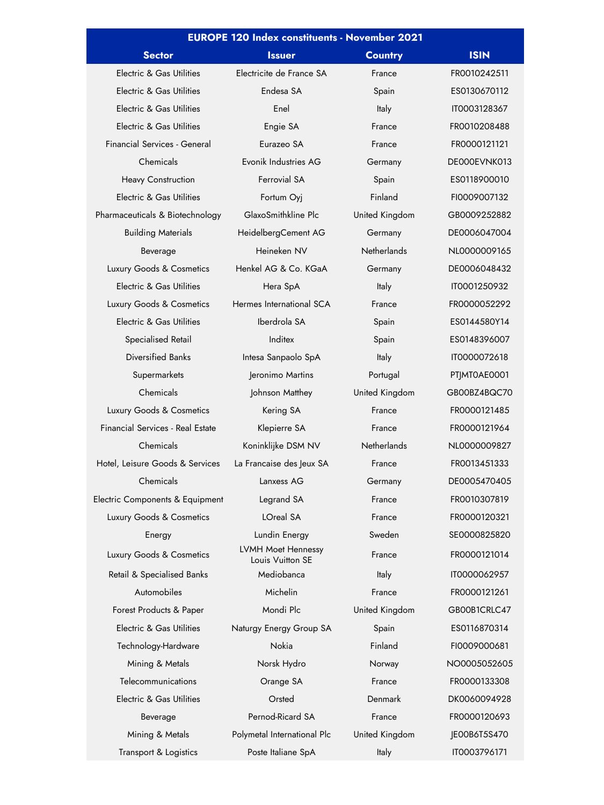| <b>EUROPE 120 Index constituents - November 2021</b> |                                        |                    |              |  |
|------------------------------------------------------|----------------------------------------|--------------------|--------------|--|
| <b>Sector</b>                                        | <b>Issuer</b>                          | <b>Country</b>     | <b>ISIN</b>  |  |
| Electric & Gas Utilities                             | Electricite de France SA               | France             | FR0010242511 |  |
| Electric & Gas Utilities                             | Endesa SA                              | Spain              | ES0130670112 |  |
| Electric & Gas Utilities                             | Enel                                   | <b>Italy</b>       | IT0003128367 |  |
| Electric & Gas Utilities                             | Engie SA                               | France             | FR0010208488 |  |
| Financial Services - General                         | Eurazeo SA                             | France             | FR0000121121 |  |
| Chemicals                                            | Evonik Industries AG                   | Germany            | DE000EVNK013 |  |
| <b>Heavy Construction</b>                            | Ferrovial SA                           | Spain              | ES0118900010 |  |
| Electric & Gas Utilities                             | Fortum Oyj                             | Finland            | FI0009007132 |  |
| Pharmaceuticals & Biotechnology                      | GlaxoSmithkline Plc                    | United Kingdom     | GB0009252882 |  |
| <b>Building Materials</b>                            | HeidelbergCement AG                    | Germany            | DE0006047004 |  |
| Beverage                                             | Heineken NV                            | <b>Netherlands</b> | NL0000009165 |  |
| Luxury Goods & Cosmetics                             | Henkel AG & Co. KGaA                   | Germany            | DE0006048432 |  |
| Electric & Gas Utilities                             | Hera SpA                               | Italy              | IT0001250932 |  |
| Luxury Goods & Cosmetics                             | Hermes International SCA               | France             | FR0000052292 |  |
| Electric & Gas Utilities                             | Iberdrola SA                           | Spain              | ES0144580Y14 |  |
| Specialised Retail                                   | Inditex                                | Spain              | ES0148396007 |  |
| <b>Diversified Banks</b>                             | Intesa Sanpaolo SpA                    | Italy              | IT0000072618 |  |
| Supermarkets                                         | Jeronimo Martins                       | Portugal           | PT MT0AE0001 |  |
| Chemicals                                            | Johnson Matthey                        | United Kingdom     | GB00BZ4BQC70 |  |
| Luxury Goods & Cosmetics                             | Kering SA                              | France             | FR0000121485 |  |
| <b>Financial Services - Real Estate</b>              | Klepierre SA                           | France             | FR0000121964 |  |
| Chemicals                                            | Koninklijke DSM NV                     | Netherlands        | NL0000009827 |  |
| Hotel, Leisure Goods & Services                      | La Francaise des Jeux SA               | France             | FR0013451333 |  |
| Chemicals                                            | Lanxess AG                             | Germany            | DE0005470405 |  |
| Electric Components & Equipment                      | Legrand SA                             | France             | FR0010307819 |  |
| Luxury Goods & Cosmetics                             | LOreal SA                              | France             | FR0000120321 |  |
| Energy                                               | Lundin Energy                          | Sweden             | SE0000825820 |  |
| Luxury Goods & Cosmetics                             | LVMH Moet Hennessy<br>Louis Vuitton SE | France             | FR0000121014 |  |
| Retail & Specialised Banks                           | Mediobanca                             | Italy              | IT0000062957 |  |
| Automobiles                                          | Michelin                               | France             | FR0000121261 |  |
| Forest Products & Paper                              | Mondi Plc                              | United Kingdom     | GB00B1CRLC47 |  |
| Electric & Gas Utilities                             | Naturgy Energy Group SA                | Spain              | ES0116870314 |  |
| Technology-Hardware                                  | Nokia                                  | Finland            | FI0009000681 |  |
| Mining & Metals                                      | Norsk Hydro                            | Norway             | NO0005052605 |  |
| Telecommunications                                   | Orange SA                              | France             | FR0000133308 |  |
| Electric & Gas Utilities                             | Orsted                                 | Denmark            | DK0060094928 |  |
| Beverage                                             | Pernod-Ricard SA                       | France             | FR0000120693 |  |
| Mining & Metals                                      | Polymetal International Plc            | United Kingdom     | JE00B6T5S470 |  |
| Transport & Logistics                                | Poste Italiane SpA                     | Italy              | IT0003796171 |  |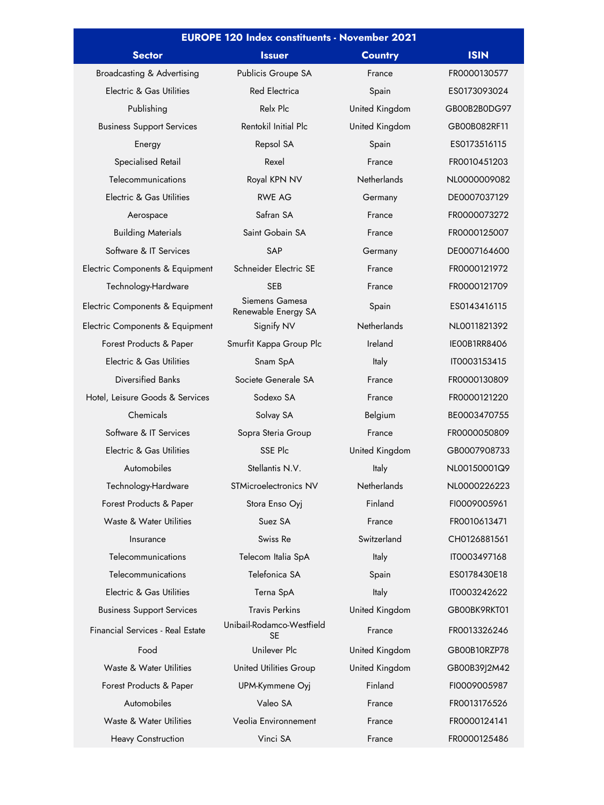| <b>EUROPE 120 Index constituents - November 2021</b> |                                       |                    |                     |  |
|------------------------------------------------------|---------------------------------------|--------------------|---------------------|--|
| <b>Sector</b>                                        | <b>Issuer</b>                         | <b>Country</b>     | <b>ISIN</b>         |  |
| Broadcasting & Advertising                           | Publicis Groupe SA                    | France             | FR0000130577        |  |
| Electric & Gas Utilities                             | <b>Red Electrica</b>                  | Spain              | ES0173093024        |  |
| Publishing                                           | Relx Plc                              | United Kingdom     | GB00B2B0DG97        |  |
| <b>Business Support Services</b>                     | Rentokil Initial Plc                  | United Kingdom     | GB00B082RF11        |  |
| Energy                                               | Repsol SA                             | Spain              | ES0173516115        |  |
| Specialised Retail                                   | Rexel                                 | France             | FR0010451203        |  |
| Telecommunications                                   | Royal KPN NV                          | <b>Netherlands</b> | NL0000009082        |  |
| Electric & Gas Utilities                             | <b>RWE AG</b>                         | Germany            | DE0007037129        |  |
| Aerospace                                            | Safran SA                             | France             | FR0000073272        |  |
| <b>Building Materials</b>                            | Saint Gobain SA                       | France             | FR0000125007        |  |
| Software & IT Services                               | <b>SAP</b>                            | Germany            | DE0007164600        |  |
| Electric Components & Equipment                      | Schneider Electric SE                 | France             | FR0000121972        |  |
| Technology-Hardware                                  | <b>SEB</b>                            | France             | FR0000121709        |  |
| Electric Components & Equipment                      | Siemens Gamesa<br>Renewable Energy SA | Spain              | ES0143416115        |  |
| Electric Components & Equipment                      | Signify NV                            | <b>Netherlands</b> | NL0011821392        |  |
| Forest Products & Paper                              | Smurfit Kappa Group Plc               | Ireland            | <b>IEOOB1RR8406</b> |  |
| Electric & Gas Utilities                             | Snam SpA                              | Italy              | IT0003153415        |  |
| Diversified Banks                                    | Societe Generale SA                   | France             | FR0000130809        |  |
| Hotel, Leisure Goods & Services                      | Sodexo SA                             | France             | FR0000121220        |  |
| Chemicals                                            | Solvay SA                             | Belgium            | BE0003470755        |  |
| Software & IT Services                               | Sopra Steria Group                    | France             | FR0000050809        |  |
| Electric & Gas Utilities                             | SSE Plc                               | United Kingdom     | GB0007908733        |  |
| Automobiles                                          | Stellantis N.V.                       | Italy              | NL00150001Q9        |  |
| Technology-Hardware                                  | STMicroelectronics NV                 | <b>Netherlands</b> | NL0000226223        |  |
| Forest Products & Paper                              | Stora Enso Oyj                        | Finland            | FI0009005961        |  |
| Waste & Water Utilities                              | Suez SA                               | France             | FR0010613471        |  |
| Insurance                                            | Swiss Re                              | Switzerland        | CH0126881561        |  |
| Telecommunications                                   | Telecom Italia SpA                    | <b>Italy</b>       | IT0003497168        |  |
| Telecommunications                                   | Telefonica SA                         | Spain              | ES0178430E18        |  |
| Electric & Gas Utilities                             | Terna SpA                             | Italy              | IT0003242622        |  |
| <b>Business Support Services</b>                     | <b>Travis Perkins</b>                 | United Kingdom     | GBOOBK9RKT01        |  |
| <b>Financial Services - Real Estate</b>              | Unibail-Rodamco-Westfield<br>SE       | France             | FR0013326246        |  |
| Food                                                 | Unilever Plc                          | United Kingdom     | GB00B10RZP78        |  |
| Waste & Water Utilities                              | <b>United Utilities Group</b>         | United Kingdom     | GB00B39J2M42        |  |
| Forest Products & Paper                              | UPM-Kymmene Oyj                       | Finland            | FI0009005987        |  |
| Automobiles                                          | Valeo SA                              | France             | FR0013176526        |  |
| Waste & Water Utilities                              | Veolia Environnement                  | France             | FR0000124141        |  |
| <b>Heavy Construction</b>                            | Vinci SA                              | France             | FR0000125486        |  |